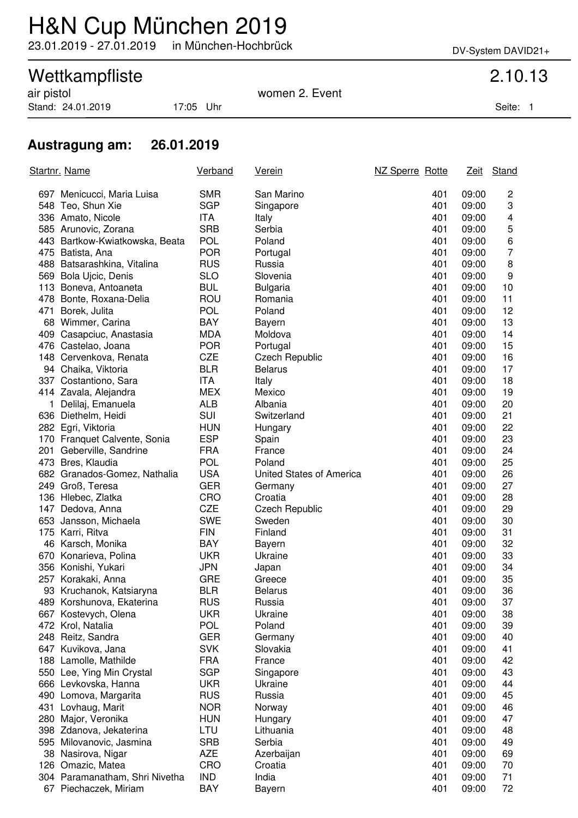# H&N Cup München 2019

23.01.2019 - 27.01.2019 in München-Hochbrück DV-System DAVID21+

## Wettkampfliste 2.10.13

Stand: 24.01.2019 17:05 Uhr Seite: 1

### air pistol women 2. Event

### **Austragung am: 26.01.2019**

| Startnr. Name |                                | <b>Verband</b> | <u>Verein</u>            | NZ Sperre Rotte |       | Zeit Stand              |
|---------------|--------------------------------|----------------|--------------------------|-----------------|-------|-------------------------|
|               | 697 Menicucci, Maria Luisa     | <b>SMR</b>     | San Marino               | 401             | 09:00 | $\overline{c}$          |
|               | 548 Teo, Shun Xie              | <b>SGP</b>     | Singapore                | 401             | 09:00 | 3                       |
|               | 336 Amato, Nicole              | ITA            | Italy                    | 401             | 09:00 | $\overline{\mathbf{4}}$ |
|               | 585 Arunovic, Zorana           | <b>SRB</b>     | Serbia                   | 401             | 09:00 | 5                       |
|               | 443 Bartkow-Kwiatkowska, Beata | <b>POL</b>     | Poland                   | 401             | 09:00 | 6                       |
|               | 475 Batista, Ana               | <b>POR</b>     | Portugal                 | 401             | 09:00 | 7                       |
|               | 488 Batsarashkina, Vitalina    | <b>RUS</b>     | Russia                   | 401             | 09:00 | 8                       |
|               | 569 Bola Ujcic, Denis          | <b>SLO</b>     | Slovenia                 | 401             | 09:00 | 9                       |
|               | 113 Boneva, Antoaneta          | <b>BUL</b>     | <b>Bulgaria</b>          | 401             | 09:00 | 10                      |
|               | 478 Bonte, Roxana-Delia        | ROU            | Romania                  | 401             | 09:00 | 11                      |
| 471           | Borek, Julita                  | <b>POL</b>     | Poland                   | 401             | 09:00 | 12                      |
|               | 68 Wimmer, Carina              | <b>BAY</b>     | Bayern                   | 401             | 09:00 | 13                      |
|               | 409 Casapciuc, Anastasia       | <b>MDA</b>     | Moldova                  | 401             | 09:00 | 14                      |
|               | 476 Castelao, Joana            | <b>POR</b>     | Portugal                 | 401             | 09:00 | 15                      |
|               | 148 Cervenkova, Renata         | <b>CZE</b>     | Czech Republic           | 401             | 09:00 | 16                      |
|               | 94 Chaika, Viktoria            | <b>BLR</b>     | <b>Belarus</b>           | 401             | 09:00 | 17                      |
|               | 337 Costantiono, Sara          | <b>ITA</b>     | Italy                    | 401             | 09:00 | 18                      |
|               | 414 Zavala, Alejandra          | <b>MEX</b>     | Mexico                   | 401             | 09:00 | 19                      |
|               | 1 Delilaj, Emanuela            | ALB            | Albania                  | 401             | 09:00 | 20                      |
|               | 636 Diethelm, Heidi            | SUI            | Switzerland              | 401             | 09:00 | 21                      |
|               | 282 Egri, Viktoria             | <b>HUN</b>     | Hungary                  | 401             | 09:00 | 22                      |
|               | 170 Franquet Calvente, Sonia   | <b>ESP</b>     | Spain                    | 401             | 09:00 | 23                      |
|               | 201 Geberville, Sandrine       | <b>FRA</b>     | France                   | 401             | 09:00 | 24                      |
|               | 473 Bres, Klaudia              | <b>POL</b>     | Poland                   | 401             | 09:00 | 25                      |
|               | 682 Granados-Gomez, Nathalia   | <b>USA</b>     | United States of America | 401             | 09:00 | 26                      |
|               | 249 Groß, Teresa               | <b>GER</b>     | Germany                  | 401             | 09:00 | 27                      |
|               | 136 Hlebec, Zlatka             | CRO            | Croatia                  | 401             | 09:00 | 28                      |
|               | 147 Dedova, Anna               | <b>CZE</b>     | <b>Czech Republic</b>    | 401             | 09:00 | 29                      |
|               | 653 Jansson, Michaela          | <b>SWE</b>     | Sweden                   | 401             | 09:00 | 30                      |
|               | 175 Karri, Ritva               | <b>FIN</b>     | Finland                  | 401             | 09:00 | 31                      |
|               | 46 Karsch, Monika              | <b>BAY</b>     | Bayern                   | 401             | 09:00 | 32                      |
|               | 670 Konarieva, Polina          | <b>UKR</b>     | Ukraine                  | 401             | 09:00 | 33                      |
|               | 356 Konishi, Yukari            | <b>JPN</b>     | Japan                    | 401             | 09:00 | 34                      |
|               | 257 Korakaki, Anna             | <b>GRE</b>     | Greece                   | 401             | 09:00 | 35                      |
|               | 93 Kruchanok, Katsiaryna       | <b>BLR</b>     | <b>Belarus</b>           | 401             | 09:00 | 36                      |
|               | 489 Korshunova, Ekaterina      | <b>RUS</b>     | Russia                   | 401             | 09:00 | 37                      |
| 667           | Kostevych, Olena               | <b>UKR</b>     | Ukraine                  | 401             | 09:00 | 38                      |
|               | 472 Krol, Natalia              | <b>POL</b>     | Poland                   | 401             | 09:00 | 39                      |
|               | 248 Reitz, Sandra              | <b>GER</b>     | Germany                  | 401             | 09:00 | 40                      |
|               | 647 Kuvikova, Jana             | <b>SVK</b>     | Slovakia                 | 401             | 09:00 | 41                      |
|               | 188 Lamolle, Mathilde          | <b>FRA</b>     | France                   | 401             | 09:00 | 42                      |
|               | 550 Lee, Ying Min Crystal      | <b>SGP</b>     | Singapore                | 401             | 09:00 | 43                      |
|               | 666 Levkovska, Hanna           | <b>UKR</b>     | Ukraine                  | 401             | 09:00 | 44                      |
|               | 490 Lomova, Margarita          | <b>RUS</b>     | Russia                   | 401             | 09:00 | 45                      |
|               | 431 Lovhaug, Marit             | <b>NOR</b>     | Norway                   | 401             | 09:00 | 46                      |
|               | 280 Major, Veronika            | <b>HUN</b>     | Hungary                  | 401             | 09:00 | 47                      |
|               | 398 Zdanova, Jekaterina        | LTU            | Lithuania                | 401             | 09:00 | 48                      |
|               | 595 Milovanovic, Jasmina       | <b>SRB</b>     | Serbia                   | 401             | 09:00 | 49                      |
|               | 38 Nasirova, Nigar             | <b>AZE</b>     | Azerbaijan               | 401             | 09:00 | 69                      |
|               | 126 Omazic, Matea              | CRO            | Croatia                  | 401             | 09:00 | 70                      |
|               | 304 Paramanatham, Shri Nivetha | <b>IND</b>     | India                    | 401             | 09:00 | 71                      |
|               | 67 Piechaczek, Miriam          | <b>BAY</b>     | Bayern                   | 401             | 09:00 | 72                      |